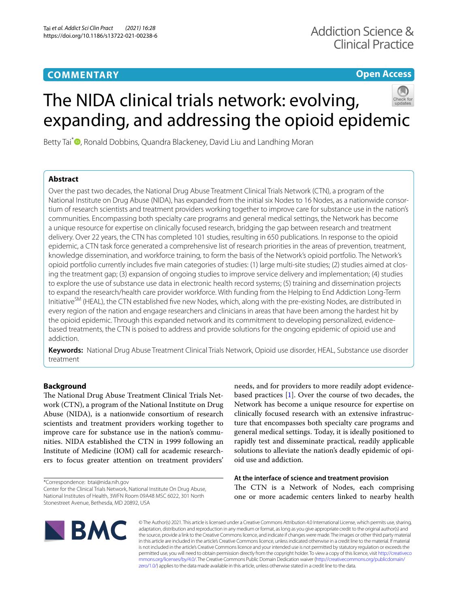# **COMMENTARY**

**Open Access**

# The NIDA clinical trials network: evolving, expanding, and addressing the opioid epidemic



Betty Tai<sup>\*</sup> **D**[,](http://orcid.org/0000-0002-7163-9763) Ronald Dobbins, Quandra Blackeney, David Liu and Landhing Moran

# **Abstract**

Over the past two decades, the National Drug Abuse Treatment Clinical Trials Network (CTN), a program of the National Institute on Drug Abuse (NIDA), has expanded from the initial six Nodes to 16 Nodes, as a nationwide consortium of research scientists and treatment providers working together to improve care for substance use in the nation's communities. Encompassing both specialty care programs and general medical settings, the Network has become a unique resource for expertise on clinically focused research, bridging the gap between research and treatment delivery. Over 22 years, the CTN has completed 101 studies, resulting in 650 publications. In response to the opioid epidemic, a CTN task force generated a comprehensive list of research priorities in the areas of prevention, treatment, knowledge dissemination, and workforce training, to form the basis of the Network's opioid portfolio. The Network's opioid portfolio currently includes fve main categories of studies: (1) large multi-site studies; (2) studies aimed at closing the treatment gap; (3) expansion of ongoing studies to improve service delivery and implementation; (4) studies to explore the use of substance use data in electronic health record systems; (5) training and dissemination projects to expand the research/health care provider workforce. With funding from the Helping to End Addiction Long-Term Initiative<sup>SM</sup> (HEAL), the CTN established five new Nodes, which, along with the pre-existing Nodes, are distributed in every region of the nation and engage researchers and clinicians in areas that have been among the hardest hit by the opioid epidemic. Through this expanded network and its commitment to developing personalized, evidencebased treatments, the CTN is poised to address and provide solutions for the ongoing epidemic of opioid use and addiction.

**Keywords:** National Drug Abuse Treatment Clinical Trials Network, Opioid use disorder, HEAL, Substance use disorder treatment

# **Background**

The National Drug Abuse Treatment Clinical Trials Network (CTN), a program of the National Institute on Drug Abuse (NIDA), is a nationwide consortium of research scientists and treatment providers working together to improve care for substance use in the nation's communities. NIDA established the CTN in 1999 following an Institute of Medicine (IOM) call for academic researchers to focus greater attention on treatment providers'

\*Correspondence: btai@nida.nih.gov

Center for the Clinical Trials Network, National Institute On Drug Abuse, National Institutes of Health, 3WFN Room 09A48 MSC 6022, 301 North Stonestreet Avenue, Bethesda, MD 20892, USA

needs, and for providers to more readily adopt evidencebased practices [\[1](#page-8-0)]. Over the course of two decades, the Network has become a unique resource for expertise on clinically focused research with an extensive infrastructure that encompasses both specialty care programs and general medical settings. Today, it is ideally positioned to rapidly test and disseminate practical, readily applicable solutions to alleviate the nation's deadly epidemic of opioid use and addiction.

# **At the interface of science and treatment provision**

The CTN is a Network of Nodes, each comprising one or more academic centers linked to nearby health



© The Author(s) 2021. This article is licensed under a Creative Commons Attribution 4.0 International License, which permits use, sharing, adaptation, distribution and reproduction in any medium or format, as long as you give appropriate credit to the original author(s) and the source, provide a link to the Creative Commons licence, and indicate if changes were made. The images or other third party material in this article are included in the article's Creative Commons licence, unless indicated otherwise in a credit line to the material. If material is not included in the article's Creative Commons licence and your intended use is not permitted by statutory regulation or exceeds the permitted use, you will need to obtain permission directly from the copyright holder. To view a copy of this licence, visit [http://creativeco](http://creativecommons.org/licenses/by/4.0/) [mmons.org/licenses/by/4.0/.](http://creativecommons.org/licenses/by/4.0/) The Creative Commons Public Domain Dedication waiver ([http://creativecommons.org/publicdomain/](http://creativecommons.org/publicdomain/zero/1.0/) [zero/1.0/\)](http://creativecommons.org/publicdomain/zero/1.0/) applies to the data made available in this article, unless otherwise stated in a credit line to the data.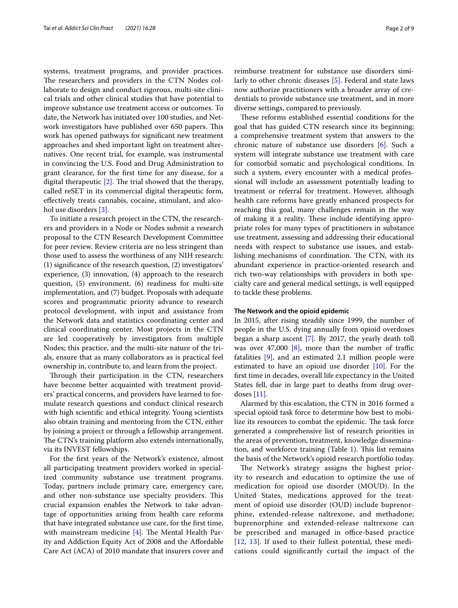systems, treatment programs, and provider practices. The researchers and providers in the CTN Nodes collaborate to design and conduct rigorous, multi-site clinical trials and other clinical studies that have potential to improve substance use treatment access or outcomes. To date, the Network has initiated over 100 studies, and Network investigators have published over 650 papers. This work has opened pathways for signifcant new treatment approaches and shed important light on treatment alternatives. One recent trial, for example, was instrumental in convincing the U.S. Food and Drug Administration to grant clearance, for the frst time for any disease, for a digital therapeutic  $[2]$  $[2]$ . The trial showed that the therapy, called reSET in its commercial digital therapeutic form, efectively treats cannabis, cocaine, stimulant, and alcohol use disorders [[3](#page-8-2)].

To initiate a research project in the CTN, the researchers and providers in a Node or Nodes submit a research proposal to the CTN Research Development Committee for peer review. Review criteria are no less stringent than those used to assess the worthiness of any NIH research: (1) signifcance of the research question, (2) investigators' experience, (3) innovation, (4) approach to the research question, (5) environment, (6) readiness for multi-site implementation, and (7) budget. Proposals with adequate scores and programmatic priority advance to research protocol development, with input and assistance from the Network data and statistics coordinating center and clinical coordinating center. Most projects in the CTN are led cooperatively by investigators from multiple Nodes; this practice, and the multi-site nature of the trials, ensure that as many collaborators as is practical feel ownership in, contribute to, and learn from the project.

Through their participation in the CTN, researchers have become better acquainted with treatment providers' practical concerns, and providers have learned to formulate research questions and conduct clinical research with high scientifc and ethical integrity. Young scientists also obtain training and mentoring from the CTN, either by joining a project or through a fellowship arrangement. The CTN's training platform also extends internationally, via its INVEST fellowships.

For the frst years of the Network's existence, almost all participating treatment providers worked in specialized community substance use treatment programs. Today, partners include primary care, emergency care, and other non-substance use specialty providers. This crucial expansion enables the Network to take advantage of opportunities arising from health care reforms that have integrated substance use care, for the frst time, with mainstream medicine  $[4]$  $[4]$ . The Mental Health Parity and Addiction Equity Act of 2008 and the Afordable Care Act (ACA) of 2010 mandate that insurers cover and reimburse treatment for substance use disorders similarly to other chronic diseases [[5\]](#page-8-4). Federal and state laws now authorize practitioners with a broader array of credentials to provide substance use treatment, and in more diverse settings, compared to previously.

These reforms established essential conditions for the goal that has guided CTN research since its beginning: a comprehensive treatment system that answers to the chronic nature of substance use disorders [\[6](#page-8-5)]. Such a system will integrate substance use treatment with care for comorbid somatic and psychological conditions. In such a system, every encounter with a medical professional will include an assessment potentially leading to treatment or referral for treatment. However, although health care reforms have greatly enhanced prospects for reaching this goal, many challenges remain in the way of making it a reality. These include identifying appropriate roles for many types of practitioners in substance use treatment, assessing and addressing their educational needs with respect to substance use issues, and establishing mechanisms of coordination. The CTN, with its abundant experience in practice-oriented research and rich two-way relationships with providers in both specialty care and general medical settings, is well equipped to tackle these problems.

#### **The Network and the opioid epidemic**

In 2015, after rising steadily since 1999, the number of people in the U.S. dying annually from opioid overdoses began a sharp ascent [\[7](#page-8-6)]. By 2017, the yearly death toll was over 47,000  $[8]$  $[8]$ , more than the number of traffic fatalities [[9](#page-8-8)], and an estimated 2.1 million people were estimated to have an opioid use disorder [\[10\]](#page-8-9). For the frst time in decades, overall life expectancy in the United States fell, due in large part to deaths from drug overdoses [[11\]](#page-8-10).

Alarmed by this escalation, the CTN in 2016 formed a special opioid task force to determine how best to mobilize its resources to combat the epidemic. The task force generated a comprehensive list of research priorities in the areas of prevention, treatment, knowledge dissemination, and workforce training (Table  $1$ ). This list remains the basis of the Network's opioid research portfolio today.

The Network's strategy assigns the highest priority to research and education to optimize the use of medication for opioid use disorder (MOUD). In the United States, medications approved for the treatment of opioid use disorder (OUD) include buprenorphine, extended-release naltrexone, and methadone; buprenorphine and extended-release naltrexone can be prescribed and managed in office-based practice [[12](#page-8-11), [13](#page-8-12)]. If used to their fullest potential, these medications could signifcantly curtail the impact of the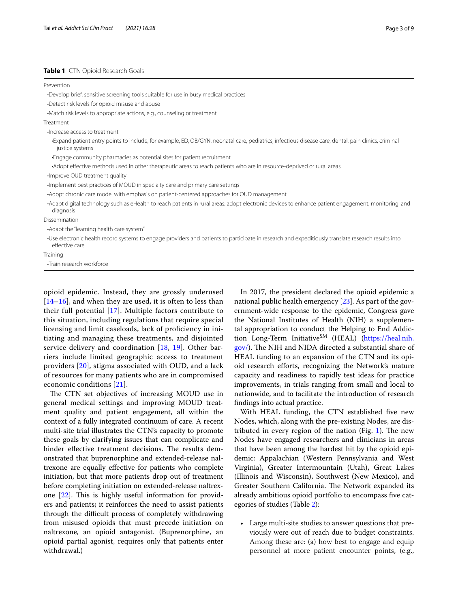# <span id="page-2-0"></span>**Table 1** CTN Opioid Research Goals

| Prevention                                                                                                                                                              |
|-------------------------------------------------------------------------------------------------------------------------------------------------------------------------|
| . Develop brief, sensitive screening tools suitable for use in busy medical practices                                                                                   |
| •Detect risk levels for opioid misuse and abuse                                                                                                                         |
| •Match risk levels to appropriate actions, e.g., counseling or treatment                                                                                                |
| Treatment                                                                                                                                                               |
| Increase access to treatment                                                                                                                                            |
| -Expand patient entry points to include, for example, ED, OB/GYN, neonatal care, pediatrics, infectious disease care, dental, pain clinics, criminal<br>justice systems |
| . Engage community pharmacies as potential sites for patient recruitment                                                                                                |
| -Adopt effective methods used in other therapeutic areas to reach patients who are in resource-deprived or rural areas                                                  |
| ·Improve OUD treatment quality                                                                                                                                          |
| Implement best practices of MOUD in specialty care and primary care settings                                                                                            |
| •Adopt chronic care model with emphasis on patient-centered approaches for OUD management                                                                               |
| -Adapt digital technology such as eHealth to reach patients in rural areas; adopt electronic devices to enhance patient engagement, monitoring, and<br>diagnosis        |
| Dissemination                                                                                                                                                           |
| •Adapt the "learning health care system"                                                                                                                                |
| Use electronic health record systems to engage providers and patients to participate in research and expeditiously translate research results into<br>effective care    |
| Training                                                                                                                                                                |
| •Train research workforce                                                                                                                                               |

opioid epidemic. Instead, they are grossly underused  $[14–16]$  $[14–16]$  $[14–16]$  $[14–16]$ , and when they are used, it is often to less than their full potential [[17\]](#page-8-15). Multiple factors contribute to this situation, including regulations that require special licensing and limit caseloads, lack of proficiency in initiating and managing these treatments, and disjointed service delivery and coordination [\[18](#page-8-16), [19\]](#page-8-17). Other barriers include limited geographic access to treatment providers [[20\]](#page-8-18), stigma associated with OUD, and a lack of resources for many patients who are in compromised economic conditions [[21\]](#page-8-19).

The CTN set objectives of increasing MOUD use in general medical settings and improving MOUD treatment quality and patient engagement, all within the context of a fully integrated continuum of care. A recent multi-site trial illustrates the CTN's capacity to promote these goals by clarifying issues that can complicate and hinder effective treatment decisions. The results demonstrated that buprenorphine and extended-release naltrexone are equally efective for patients who complete initiation, but that more patients drop out of treatment before completing initiation on extended-release naltrexone  $[22]$  $[22]$ . This is highly useful information for providers and patients; it reinforces the need to assist patients through the difficult process of completely withdrawing from misused opioids that must precede initiation on naltrexone, an opioid antagonist. (Buprenorphine, an opioid partial agonist, requires only that patients enter withdrawal.)

In 2017, the president declared the opioid epidemic a national public health emergency [\[23](#page-8-21)]. As part of the government-wide response to the epidemic, Congress gave the National Institutes of Health (NIH) a supplemental appropriation to conduct the Helping to End Addic-tion Long-Term Initiative<sup>SM</sup> (HEAL) [\(https://heal.nih.](https://heal.nih.gov/) [gov/\)](https://heal.nih.gov/). The NIH and NIDA directed a substantial share of HEAL funding to an expansion of the CTN and its opioid research efforts, recognizing the Network's mature capacity and readiness to rapidly test ideas for practice improvements, in trials ranging from small and local to nationwide, and to facilitate the introduction of research fndings into actual practice.

With HEAL funding, the CTN established five new Nodes, which, along with the pre-existing Nodes, are dis-tributed in every region of the nation (Fig. [1\)](#page-3-0). The new Nodes have engaged researchers and clinicians in areas that have been among the hardest hit by the opioid epidemic: Appalachian (Western Pennsylvania and West Virginia), Greater Intermountain (Utah), Great Lakes (Illinois and Wisconsin), Southwest (New Mexico), and Greater Southern California. The Network expanded its already ambitious opioid portfolio to encompass fve categories of studies (Table [2](#page-4-0)):

• Large multi-site studies to answer questions that previously were out of reach due to budget constraints. Among these are: (a) how best to engage and equip personnel at more patient encounter points, (e.g.,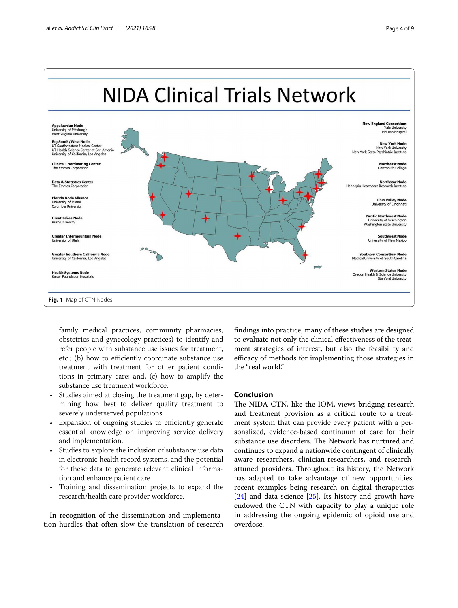

<span id="page-3-0"></span>family medical practices, community pharmacies, obstetrics and gynecology practices) to identify and refer people with substance use issues for treatment, etc.; (b) how to efficiently coordinate substance use treatment with treatment for other patient conditions in primary care; and, (c) how to amplify the substance use treatment workforce.

- Studies aimed at closing the treatment gap, by determining how best to deliver quality treatment to severely underserved populations.
- Expansion of ongoing studies to efficiently generate essential knowledge on improving service delivery and implementation.
- Studies to explore the inclusion of substance use data in electronic health record systems, and the potential for these data to generate relevant clinical information and enhance patient care.
- Training and dissemination projects to expand the research/health care provider workforce.

In recognition of the dissemination and implementation hurdles that often slow the translation of research fndings into practice, many of these studies are designed to evaluate not only the clinical efectiveness of the treatment strategies of interest, but also the feasibility and efficacy of methods for implementing those strategies in the "real world."

# **Conclusion**

The NIDA CTN, like the IOM, views bridging research and treatment provision as a critical route to a treatment system that can provide every patient with a personalized, evidence-based continuum of care for their substance use disorders. The Network has nurtured and continues to expand a nationwide contingent of clinically aware researchers, clinician-researchers, and researchattuned providers. Throughout its history, the Network has adapted to take advantage of new opportunities, recent examples being research on digital therapeutics [[24\]](#page-8-22) and data science [[25\]](#page-8-23). Its history and growth have endowed the CTN with capacity to play a unique role in addressing the ongoing epidemic of opioid use and overdose.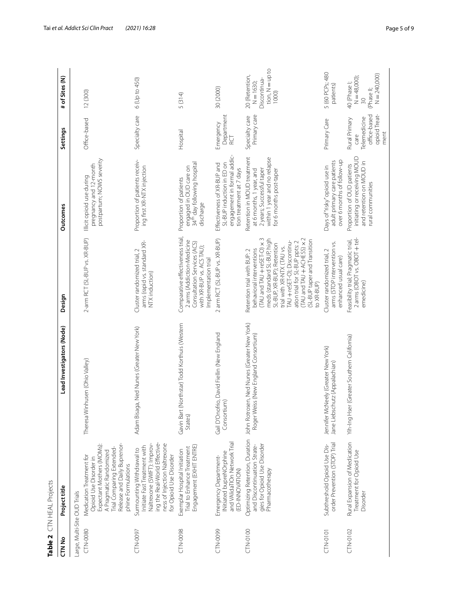<span id="page-4-0"></span>

|                              | Table 2 $CTN$ HEAL Projects                                                                                                                                                                 |                                                                                                                    |                                                                                                                                                                                                                                                                                                                                |                                                                                                                                                 |                                                                                |                                                                         |
|------------------------------|---------------------------------------------------------------------------------------------------------------------------------------------------------------------------------------------|--------------------------------------------------------------------------------------------------------------------|--------------------------------------------------------------------------------------------------------------------------------------------------------------------------------------------------------------------------------------------------------------------------------------------------------------------------------|-------------------------------------------------------------------------------------------------------------------------------------------------|--------------------------------------------------------------------------------|-------------------------------------------------------------------------|
| CTN <sub>No</sub>            | Project title                                                                                                                                                                               | Lead Investigators (Node)                                                                                          | Design                                                                                                                                                                                                                                                                                                                         | Outcomes                                                                                                                                        | Settings                                                                       | # of Sites (N)                                                          |
| Large, Multi-Site OUD Trials |                                                                                                                                                                                             |                                                                                                                    |                                                                                                                                                                                                                                                                                                                                |                                                                                                                                                 |                                                                                |                                                                         |
| CTN-0080                     | Release and Daily Buprenor-<br>Expectant Mothers (MOMs):<br>Trial Comparing Extended-<br>A Pragmatic Randomized<br>Medication Treatment for<br>Opioid Use Disorder in<br>phine Formulations | Theresa Winhusen (Ohio Valley)                                                                                     | 2-arm RCT (SL-BUP vs. XR-BUP)                                                                                                                                                                                                                                                                                                  | postpartum; NOWS severity<br>pregnancy and 12-month<br>Illicit opioid use during                                                                | Office-based                                                                   | 12 (300)                                                                |
| CTN-0097                     | ing the Real-World Effective-<br>Naltrexone (SWIFT): Improv-<br>ness of Injection Naltrexone<br>Initiate Fast Treatment with<br>Surmounting Withdrawal to<br>for Opioid Use Disorder        | Adam Bisaga, Ned Nunes (Greater New York)                                                                          | arms (rapid vs. standard XR-<br>Cluster randomized trial, 2<br>NTX induction)                                                                                                                                                                                                                                                  | Proportion of patients receiv-<br>ing first XR-NTX injection                                                                                    | Specialty care                                                                 | 6 (Up to 450)                                                           |
| CTN-0098                     | Engagement (EXHIT ENTRE)<br>Trial to Enhance Treatment<br>Exemplar Hospital Initiation                                                                                                      | (Northstar) Todd Korthuis (Western<br>Gavin Bart<br>States)                                                        | Comparative effectiveness trial,<br>2 arms (Addiction-Medicine<br>Consultation Services (ACS)<br>with XR-BUP vs. ACS TAU);<br>Implementation trial                                                                                                                                                                             | engaged in OUD care on<br>34 <sup>th</sup> day following hospital<br>Proportion of patients<br>discharge                                        | Hospital                                                                       | 5 (314)                                                                 |
| <b>CTN-0099</b>              | and VAlidaTIOn Network Trial<br>INitiated bupreNOrphine<br>Emergency Department-<br>(ED-INNOVATION)                                                                                         | Gail D'Onofrio, David Fiellin (New England<br>Consortium)                                                          | 2 arm RCT (SL-BUP vs. XR-BUP)                                                                                                                                                                                                                                                                                                  | engagement in formal addic-<br>SL-BUP induction in ED on<br>Effectiveness of XR-BUP and<br>tion treatment at 7 days                             | Department<br>Emergency<br>RCT                                                 | 30 (2000)                                                               |
| CTN-0100                     | gies for Opioid Use Disorder<br>and Discontinuation Strate-<br>Pharmacotherapy                                                                                                              | Optimizing Retention, Duration John Rotrosen, Ned Nunes (Greater New York)<br>Roger Weiss (New England Consortium) | (TAU and TAU + ACHESS) x 2<br>(TAU and TAU + reSET-O) x 3<br>meds (standard SL-BUP, high<br>(SL-BUP taper and Transition<br>TAU + reSET-O); Discontinu-<br>ation trial for SL-BUP ppts: 2<br>SL-BUP, XR-BUP); Retention<br>trial with XR-NTX (TAU vs.<br>behavioral interventions<br>Retention trial with BUP: 2<br>to XR-BUP) | Retention in MOUD treatment<br>within 1 year and no relapse<br>2 years; Successful taper<br>at 6 months, 1 year, and<br>for 6 months post-taper | Primary care<br>Specialty care                                                 | tion, N=up to<br>20 (Retention,<br>Discontinua-<br>$N = 1630;$<br>1000) |
| <b>CTN-0101</b>              | order Prevention (STOP) Trial<br>Subthreshold Opioid Use Dis-                                                                                                                               | Jennifer McNeely (Greater New York)<br>Jane Liebschutz (Appalachian)                                               | arms (STOP intervention vs.<br>Cluster randomized trial, 2<br>enhanced usual care)                                                                                                                                                                                                                                             | over 6 months of follow-up<br>adult primary care patients<br>Days of "risky" opioid use in                                                      | Primary Care                                                                   | 5 (60 PCPs; 480<br>patients)                                            |
| CTN-0102                     | Rural Expansion of Medication<br>Treatment for Opioid Use<br>Disorder                                                                                                                       | Yih-Ing Hser (Greater Southern California)                                                                         | 2 arms (OBOT vs. OBOT + tel-<br>Feasibility trial; Pragmatic trial,<br>emedicine)                                                                                                                                                                                                                                              | initiating or receiving MOUD<br>and retention on MOUD in<br>Proportion of OUD patients<br>rural communities                                     | opioid Treat-<br>office-based<br>Rural Primary<br>Telemedicine<br>ment<br>care | $N = 240,000$<br>$N = 48,000$<br>40 (Phase I;<br>(Phase II;<br>30       |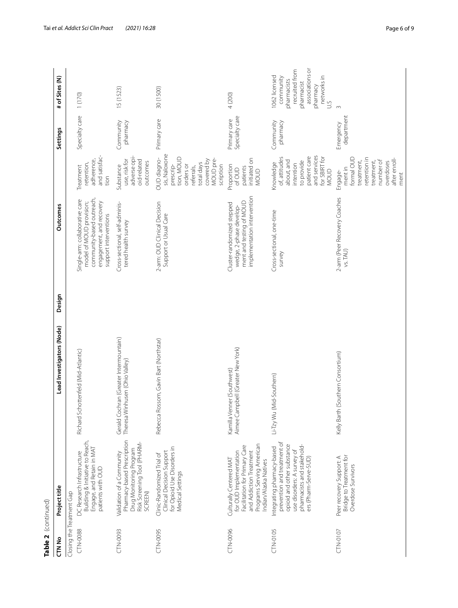| Table 2 (continued)                   |                                                                                                                                                                              |                                                                          |        |                                                                                                                                              |                                                                                                                                          |                                |                                                                                                                                |
|---------------------------------------|------------------------------------------------------------------------------------------------------------------------------------------------------------------------------|--------------------------------------------------------------------------|--------|----------------------------------------------------------------------------------------------------------------------------------------------|------------------------------------------------------------------------------------------------------------------------------------------|--------------------------------|--------------------------------------------------------------------------------------------------------------------------------|
| CTN No                                | Project title                                                                                                                                                                | Lead Investigators (Node)                                                | Design | Outcomes                                                                                                                                     |                                                                                                                                          | Settings                       | # of Sites (N)                                                                                                                 |
| Closing the Treatment Gap<br>CTN-0088 | Building & Initiative to Reach,<br>Engage, and Retain in MAT<br>DC Research Infrastructure<br>patients with OUD                                                              | Richard Schottenfeld (Mid-Atlantic)                                      |        | community-based outreach,<br>Single-arm: collaborative care<br>engagement, and recovery<br>model of MOUD provision;<br>support interventions | and satisfac-<br>adherence,<br>retention,<br>Treatment<br>tion                                                                           | Specialty care                 | 1(170)                                                                                                                         |
| CTN-0093                              | Pharmacy-based Prescription<br>Risk Screening Tool (PHARM-<br>Drug Monitoring Program<br>Validation of a Community<br>SCREEN)                                                | Gerald Cochran (Greater Intermountain)<br>Theresa Winhusen (Ohio Valley) |        | Cross-sectional, self-adminis-<br>tered health survey                                                                                        | adverse opi-<br>use, risk for<br>oid-related<br>outcomes<br>Substance                                                                    | Community<br>pharmacy          | 15 (1523)                                                                                                                      |
| CTN-0095                              | for Opioid Use Disorders in<br>Clinical Decision Support<br>Clinic-Randomized Trial of<br>Medical Settings                                                                   | Rebecca Rossom, Gavin Bart (Northstar)                                   |        | 2-arm: OUD Clinical Decision<br>Support or Usual Care                                                                                        | sis, Naloxone<br>tion, MOUD<br>OUD diagno-<br>MOUD pre-<br>covered by<br>total days<br>orders or<br>scription<br>prescrip-<br>referrals, | Primary care                   | 30 (1500)                                                                                                                      |
| CTN-0096                              | Programs Serving American<br>Facilitation for Primary Care<br>and Addiction Treatment<br>for OUD Implementation<br>Culturally Centered MAT<br>Indian/Alaska Natives          | Aimee Campbell (Greater New York)<br>Kamilla Venner (Southwest)          |        | implementation intervention<br>ment and testing of MOUD<br>Cluster-randomized stepped<br>wedge, 2-phase develop-                             | initiated on<br>Proportion<br>patients<br>of OUD<br><b>MOUD</b>                                                                          | Specialty care<br>Primary care | 4 (200)                                                                                                                        |
| CTN-0105                              | prevention and treatment of<br>opioid and other substance<br>pharmacists and stakehold-<br>Integrating pharmacy-based<br>use disorders: A survey of<br>ers (Pharm-Serve-SUD) | Li-Tzy Wu (Mid-Southern)                                                 |        | Cross-sectional, one-time<br>survey                                                                                                          | and services<br>patient care<br>for SBIRT for<br>of, attitudes<br>about, and<br>to provide<br>Knowledge<br>intention<br>MOUD             | Community<br>pharmacy          | associations or<br>recruited from<br>1062 licensed<br>networks in<br>community<br>pharmacists<br>pharmacist<br>pharmacy<br>U.S |
| CTN-0107                              | Bridge to Treatment for<br>Peer recovery Support: A<br>Overdose Survivors                                                                                                    | Kelly Barth (Southern Consortium)                                        |        | 2-arm (Peer Recovery Coaches<br>vs. TAU)                                                                                                     | formal OUD<br>retention in<br>after enroll-<br>number of<br>treatment,<br>treatment,<br>overdoses<br>ment in<br>Engage-<br>ment          | department<br>Emergency        | $\infty$                                                                                                                       |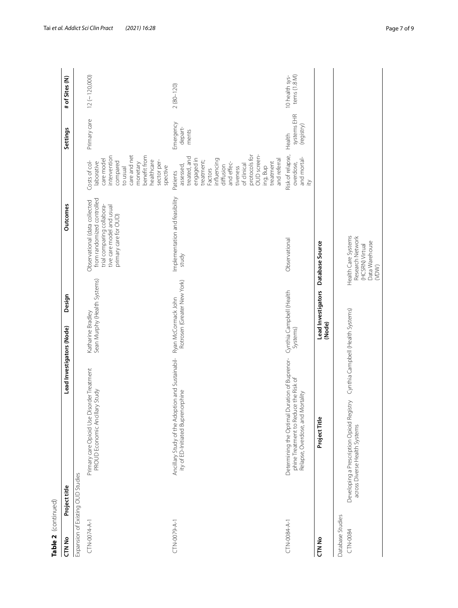| Table 2 (continued)               |                                                                                                                            |                                                    |                                                                                                                                                 |                                                                                                                                                                                                                            |                                     |                                |
|-----------------------------------|----------------------------------------------------------------------------------------------------------------------------|----------------------------------------------------|-------------------------------------------------------------------------------------------------------------------------------------------------|----------------------------------------------------------------------------------------------------------------------------------------------------------------------------------------------------------------------------|-------------------------------------|--------------------------------|
| CTN No                            | Lead Investigators (Node)<br>Project title                                                                                 | Design                                             | Outcomes                                                                                                                                        |                                                                                                                                                                                                                            | Settings                            | # of Sites (N)                 |
| Expansion of Existing OUD Studies |                                                                                                                            |                                                    |                                                                                                                                                 |                                                                                                                                                                                                                            |                                     |                                |
| CTN-0074-A-1                      | Primary care Opioid Use Disorder Treatment<br>PROUD Economic Ancillary Study                                               | Sean Murphy (Health Systems)<br>Katharine Bradley  | from randomized controlled<br>Observational (data collected<br>trial comparing collabora-<br>tive care model and usual<br>primary care for OUD) | care and net<br>benefit from<br>intervention<br>care model<br>healthcare<br>sector per-<br>Costs of col-<br>compared<br>laborative<br>monetary<br>spective<br>to usual                                                     | Primary care                        | $12 (-120,000)$                |
| CTN-0079-A-1                      | Ancillary Study of the Adoption and Sustainabil-<br>ity of ED-Initiated Buprenorphine                                      | Rotrosen (Greater New York)<br>Ryan McCormack John | Implementation and feasibility<br>study                                                                                                         | protocols for<br>OUD screen-<br>treated, and<br>engaged in<br>influencing<br>and referral<br>treatment;<br>treatment<br>and effec-<br>of clinical<br>assessed,<br>diffusion<br>ing, Bup<br>tiveness<br>Factors<br>Patients | Emergency<br>depart-<br>ments       | $2(80 - 120)$                  |
| CTN-0084-A-1                      | Determining the Optimal Duration of Buprenor-<br>phine Treatment to Reduce the Risk of<br>Relapse, Overdose, and Mortality | Cynthia Campbell (Health<br>Systems)               | Observational                                                                                                                                   | Risk of relapse,<br>and mortal-<br>overdose,<br>$\gtrapprox$                                                                                                                                                               | systems EHR<br>(registry)<br>Health | tems (1.8 M)<br>10 health sys- |
| CTN No                            | Project Title                                                                                                              | Lead Investigators<br>(Node)                       | Database Source                                                                                                                                 |                                                                                                                                                                                                                            |                                     |                                |
| Database Studies<br>CTN-0084      | Developing a Prescription Opioid Registry<br>across Diverse Health Systems                                                 | Cynthia Campbell (Health Systems)                  | Health Care Systems<br>Research Network<br>Data Warehouse<br>(HCSRN) Virtual<br>(VDW)                                                           |                                                                                                                                                                                                                            |                                     |                                |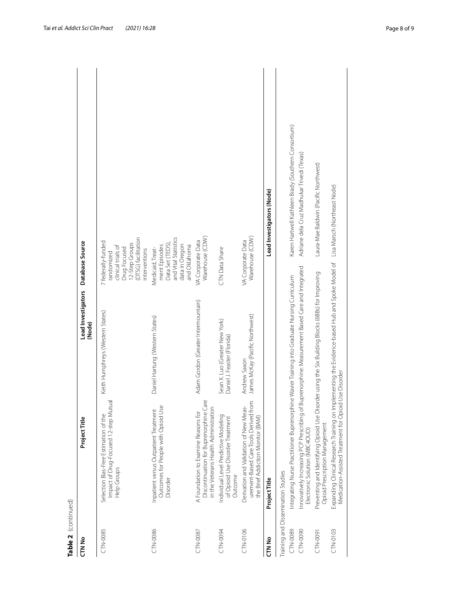| Table 2 (continued) |                                                                                                                                                                                      |                                                               |                                                                                                                                  |                                                     |
|---------------------|--------------------------------------------------------------------------------------------------------------------------------------------------------------------------------------|---------------------------------------------------------------|----------------------------------------------------------------------------------------------------------------------------------|-----------------------------------------------------|
| CTN No              | Project Title                                                                                                                                                                        | Lead Investigators<br>(Node)                                  | Database Source                                                                                                                  |                                                     |
| CTN-0085            | Impact of Drug-Focused 12-step Mutual<br>Selection Bias-Free Estimation of the<br>Help Groups                                                                                        | Keith Humphreys (Western States)                              | (DTSG) facilitation<br>7 federally-funded<br>12-Step Groups<br>clinical trials of<br>Drug Focused<br>interventions<br>randomized |                                                     |
| CTN-0086            | Outcomes for People with Opioid Use<br>Inpatient versus Outpatient Treatment<br>Disorder                                                                                             | Daniel Hartung (Western States)                               | and Vital Statistics<br>Data Set (TEDS),<br>data in Oregon<br>and Oklahoma<br>ment Episodes<br>Medicaid, Treat-                  |                                                     |
| CTN-0087            | Discontinuation for Buprenorphine Care<br>in the Veterans Health Administration<br>A Foundation to Examine Reasons for                                                               | Adam Gordon (Greater Intermountain)                           | Warehouse (CDW)<br>VA Corporate Data                                                                                             |                                                     |
| CTN-0094            | Individual Level Predictive Modeling<br>of Opioid Use Disorder Treatment<br>Outcome                                                                                                  | Sean X. Luo (Greater New York)<br>Daniel J. Feaster (Florida) | CTN Data Share                                                                                                                   |                                                     |
| CTN-0106            | urement-Based Care Tools Derived from<br>Derivation and Validation of New Meas-<br>the Brief Addiction Monitor (BAM)                                                                 | James McKay (Pacific Northwest)<br>Andrew Saxon               | Warehouse (CDW)<br>VA Corporate Data                                                                                             |                                                     |
| CTN <sub>No</sub>   | Project Title                                                                                                                                                                        |                                                               |                                                                                                                                  | Lead Investigators (Node)                           |
|                     | Training and Dissemination Studies                                                                                                                                                   |                                                               |                                                                                                                                  |                                                     |
| CTN-0089            | Integrating Nurse Practitioner Buprenorphine Wavier Training into Graduate Nursing Curriculum                                                                                        |                                                               |                                                                                                                                  | Karen Hartwell Kathleen Brady (Southern Consortium) |
| CTN-0090            | Innovatively Increasing PCP Prescribing of<br>Electronic Solution (MBC4OUD)                                                                                                          | Buprenorphine: Measurement Based Care and Integrated          |                                                                                                                                  | Adriane dela Cruz Madhukar Trivedi (Texas)          |
| <b>CTN-0091</b>     | Preventing and Identifying Opioid Use Disorder using the Six Building Blocks (6BBs) for Improving<br>Opioid Prescription Management                                                  |                                                               |                                                                                                                                  | Laura-Mae Baldwin (Pacific Northwest)               |
| CTN-0103            | Expanding Clinical Research Training on Implementing the Evidence-based Hub and Spoke Model of Lisa Marsch (Northeast Node)<br>Medication-Assisted Treatment for Opioid Use Disorder |                                                               |                                                                                                                                  |                                                     |